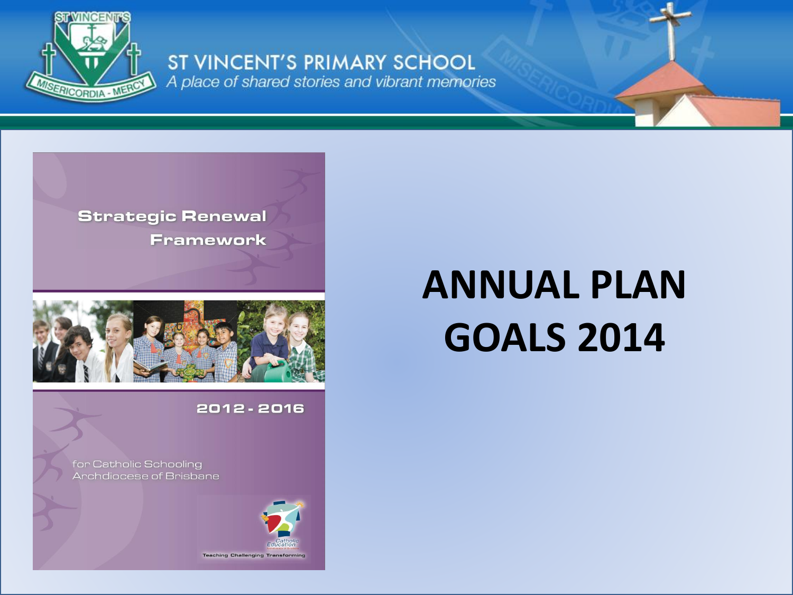

ST VINCENT'S PRIMARY SCHOOL A place of shared stories and vibrant memories





#### 2012 - 2016

for Catholic Schooling Archdiocese of Brisbane



# **ANNUAL PLAN GOALS 2014**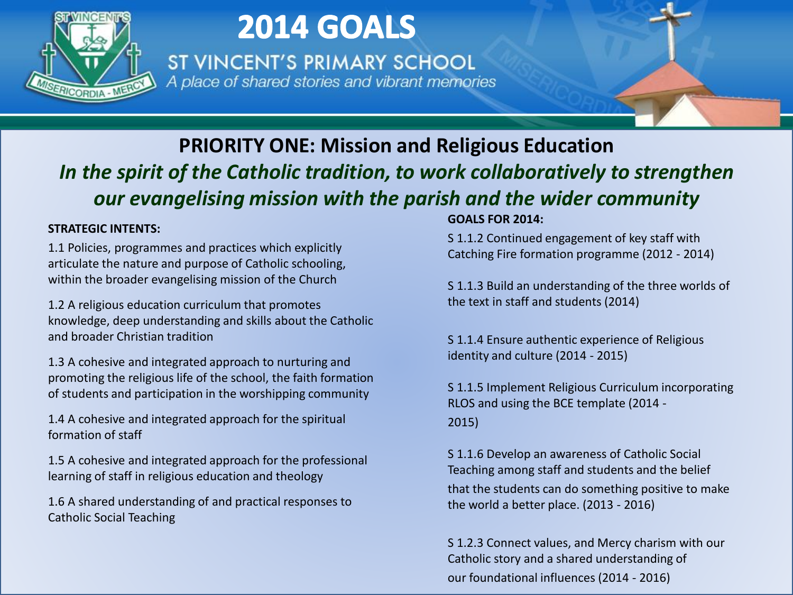

ST VINCENT'S PRIMARY SCHOOL A place of shared stories and vibrant memories

### **PRIORITY ONE: Mission and Religious Education** *In the spirit of the Catholic tradition, to work collaboratively to strengthen our evangelising mission with the parish and the wider community*

#### **STRATEGIC INTENTS:**

1.1 Policies, programmes and practices which explicitly articulate the nature and purpose of Catholic schooling, within the broader evangelising mission of the Church

1.2 A religious education curriculum that promotes knowledge, deep understanding and skills about the Catholic and broader Christian tradition

1.3 A cohesive and integrated approach to nurturing and promoting the religious life of the school, the faith formation of students and participation in the worshipping community

1.4 A cohesive and integrated approach for the spiritual formation of staff

1.5 A cohesive and integrated approach for the professional learning of staff in religious education and theology

1.6 A shared understanding of and practical responses to Catholic Social Teaching

#### **GOALS FOR 2014:**

S 1.1.2 Continued engagement of key staff with Catching Fire formation programme (2012 - 2014)

S 1.1.3 Build an understanding of the three worlds of the text in staff and students (2014)

S 1.1.4 Ensure authentic experience of Religious identity and culture (2014 - 2015)

S 1.1.5 Implement Religious Curriculum incorporating RLOS and using the BCE template (2014 - 2015)

S 1.1.6 Develop an awareness of Catholic Social Teaching among staff and students and the belief that the students can do something positive to make the world a better place. (2013 - 2016)

S 1.2.3 Connect values, and Mercy charism with our Catholic story and a shared understanding of our foundational influences (2014 - 2016)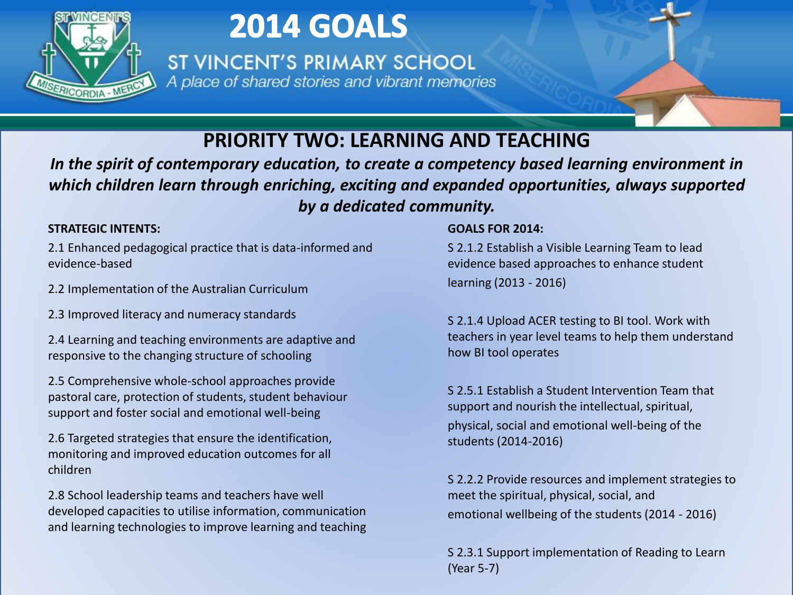

ST VINCENT'S PRIMARY SCHOOL A place of shared stories and vibrant memories

### **PRIORITY TWO: LEARNING AND TEACHING**

*In the spirit of contemporary education, to create a competency based learning environment in which children learn through enriching, exciting and expanded opportunities, always supported by a dedicated community.*

**STRATEGIC INTENTS:**<br>2.1 Enhanced pedagogical practice that is data-informed and say in the sevidence-based example that is data-informed and sevidence-based 2.1 Enhanced pedagogical practice that is data-informed and evidence-based

2.2 Implementation of the Australian Curriculum

2.3 Improved literacy and numeracy standards

2.4 Learning and teaching environments are adaptive and responsive to the changing structure of schooling

2.5 Comprehensive whole-school approaches provide pastoral care, protection of students, student behaviour support and foster social and emotional well-being

2.6 Targeted strategies that ensure the identification, monitoring and improved education outcomes for all children

2.8 School leadership teams and teachers have well developed capacities to utilise information, communication and learning technologies to improve learning and teaching

#### **GOALS FOR 2014:**

S 2.1.2 Establish a Visible Learning Team to lead evidence based approaches to enhance student learning (2013 - 2016)

S 2.1.4 Upload ACER testing to BI tool. Work with teachers in year level teams to help them understand how BI tool operates

S 2.5.1 Establish a Student Intervention Team that support and nourish the intellectual, spiritual, physical, social and emotional well-being of the students (2014-2016)

S 2.2.2 Provide resources and implement strategies to meet the spiritual, physical, social, and emotional wellbeing of the students (2014 - 2016)

S 2.3.1 Support implementation of Reading to Learn (Year 5-7)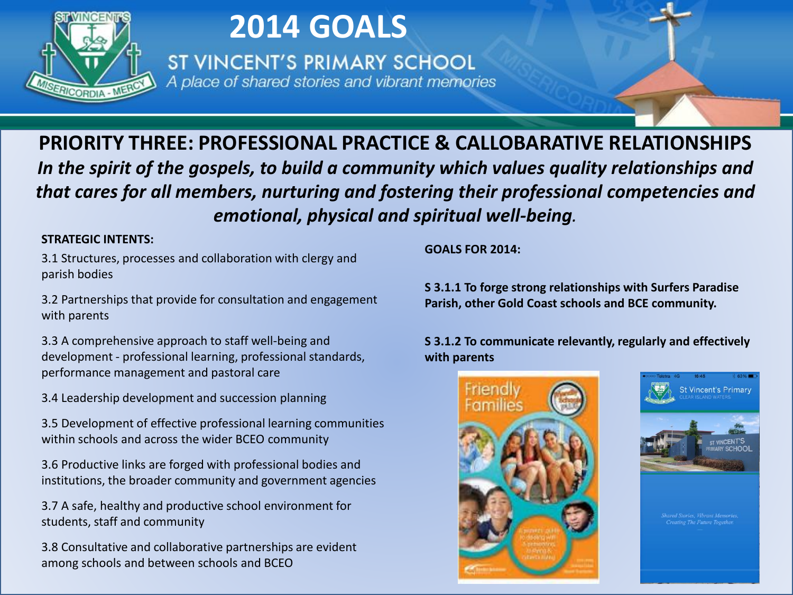

ST VINCENT'S PRIMARY SCHOOL A place of shared stories and vibrant memories

**PRIORITY THREE: PROFESSIONAL PRACTICE & CALLOBARATIVE RELATIONSHIPS** *In the spirit of the gospels, to build a community which values quality relationships and that cares for all members, nurturing and fostering their professional competencies and emotional, physical and spiritual well-being.*

#### **STRATEGIC INTENTS:**

3.1 Structures, processes and collaboration with clergy and parish bodies

3.2 Partnerships that provide for consultation and engagement with parents

3.3 A comprehensive approach to staff well-being and development - professional learning, professional standards, performance management and pastoral care

3.4 Leadership development and succession planning

3.5 Development of effective professional learning communities within schools and across the wider BCEO community

3.6 Productive links are forged with professional bodies and institutions, the broader community and government agencies

3.7 A safe, healthy and productive school environment for students, staff and community

3.8 Consultative and collaborative partnerships are evident among schools and between schools and BCEO

**GOALS FOR 2014:**

**S 3.1.1 To forge strong relationships with Surfers Paradise Parish, other Gold Coast schools and BCE community.** 

**S 3.1.2 To communicate relevantly, regularly and effectively with parents**



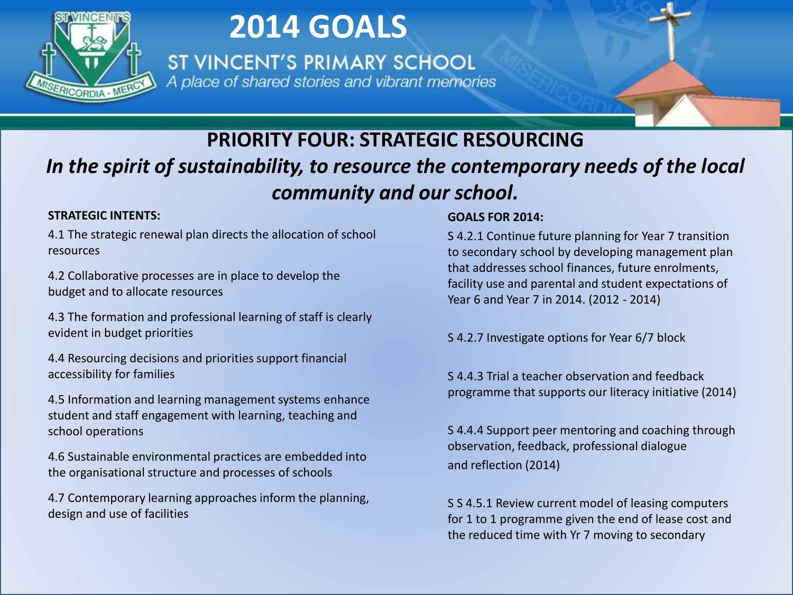

ST VINCENT'S PRIMARY SCHOOL A place of shared stories and vibrant memories

### **PRIORITY FOUR: STRATEGIC RESOURCING** *In the spirit of sustainability, to resource the contemporary needs of the local community and our school.*

#### **STRATEGIC INTENTS:**

4.1 The strategic renewal plan directs the allocation of school resources

4.2 Collaborative processes are in place to develop the budget and to allocate resources

4.3 The formation and professional learning of staff is clearly evident in budget priorities

4.4 Resourcing decisions and priorities support financial accessibility for families

4.5 Information and learning management systems enhance student and staff engagement with learning, teaching and school operations

4.6 Sustainable environmental practices are embedded into the organisational structure and processes of schools

4.7 Contemporary learning approaches inform the planning, design and use of facilities

#### **GOALS FOR 2014:**

S 4.2.1 Continue future planning for Year 7 transition to secondary school by developing management plan that addresses school finances, future enrolments, facility use and parental and student expectations of Year 6 and Year 7 in 2014. (2012 - 2014)

S 4.2.7 Investigate options for Year 6/7 block

S 4.4.3 Trial a teacher observation and feedback programme that supports our literacy initiative (2014)

S 4.4.4 Support peer mentoring and coaching through observation, feedback, professional dialogue and reflection (2014)

S S 4.5.1 Review current model of leasing computers for 1 to 1 programme given the end of lease cost and the reduced time with Yr 7 moving to secondary